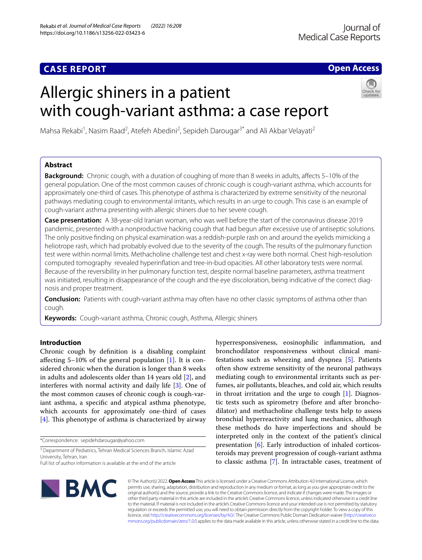# **CASE REPORT**

# **Open Access**

# Allergic shiners in a patient with cough-variant asthma: a case report



Mahsa Rekabi<sup>1</sup>, Nasim Raad<sup>2</sup>, Atefeh Abedini<sup>2</sup>, Sepideh Darougar<sup>3\*</sup> and Ali Akbar Velayati<sup>2</sup>

# **Abstract**

**Background:** Chronic cough, with a duration of coughing of more than 8 weeks in adults, afects 5–10% of the general population. One of the most common causes of chronic cough is cough-variant asthma, which accounts for approximately one-third of cases. This phenotype of asthma is characterized by extreme sensitivity of the neuronal pathways mediating cough to environmental irritants, which results in an urge to cough. This case is an example of cough-variant asthma presenting with allergic shiners due to her severe cough.

**Case presentation:** A 38-year-old Iranian woman, who was well before the start of the coronavirus disease 2019 pandemic, presented with a nonproductive hacking cough that had begun after excessive use of antiseptic solutions. The only positive fnding on physical examination was a reddish-purple rash on and around the eyelids mimicking a heliotrope rash, which had probably evolved due to the severity of the cough. The results of the pulmonary function test were within normal limits. Methacholine challenge test and chest x-ray were both normal. Chest high-resolution computed tomography revealed hyperinfation and tree-in-bud opacities. All other laboratory tests were normal. Because of the reversibility in her pulmonary function test, despite normal baseline parameters, asthma treatment was initiated, resulting in disappearance of the cough and the eye discoloration, being indicative of the correct diagnosis and proper treatment.

**Conclusion:** Patients with cough-variant asthma may often have no other classic symptoms of asthma other than cough.

**Keywords:** Cough-variant asthma, Chronic cough, Asthma, Allergic shiners

# **Introduction**

Chronic cough by defnition is a disabling complaint afecting 5–10% of the general population [[1\]](#page-3-0). It is considered chronic when the duration is longer than 8 weeks in adults and adolescents older than 14 years old [\[2](#page-3-1)], and interferes with normal activity and daily life [[3\]](#page-3-2). One of the most common causes of chronic cough is cough-variant asthma, a specifc and atypical asthma phenotype, which accounts for approximately one-third of cases [[4\]](#page-3-3). This phenotype of asthma is characterized by airway

\*Correspondence: sepidehdarougar@yahoo.com

<sup>3</sup> Department of Pediatrics, Tehran Medical Sciences Branch, Islamic Azad University, Tehran, Iran

hyperresponsiveness, eosinophilic infammation, and bronchodilator responsiveness without clinical manifestations such as wheezing and dyspnea [[5\]](#page-3-4). Patients often show extreme sensitivity of the neuronal pathways mediating cough to environmental irritants such as perfumes, air pollutants, bleaches, and cold air, which results in throat irritation and the urge to cough [\[1](#page-3-0)]. Diagnostic tests such as spirometry (before and after bronchodilator) and methacholine challenge tests help to assess bronchial hyperreactivity and lung mechanics, although these methods do have imperfections and should be interpreted only in the context of the patient's clinical presentation [[6\]](#page-3-5). Early introduction of inhaled corticosteroids may prevent progression of cough-variant asthma to classic asthma [[7\]](#page-3-6). In intractable cases, treatment of



© The Author(s) 2022. **Open Access** This article is licensed under a Creative Commons Attribution 4.0 International License, which permits use, sharing, adaptation, distribution and reproduction in any medium or format, as long as you give appropriate credit to the original author(s) and the source, provide a link to the Creative Commons licence, and indicate if changes were made. The images or other third party material in this article are included in the article's Creative Commons licence, unless indicated otherwise in a credit line to the material. If material is not included in the article's Creative Commons licence and your intended use is not permitted by statutory regulation or exceeds the permitted use, you will need to obtain permission directly from the copyright holder. To view a copy of this licence, visit [http://creativecommons.org/licenses/by/4.0/.](http://creativecommons.org/licenses/by/4.0/) The Creative Commons Public Domain Dedication waiver ([http://creativeco](http://creativecommons.org/publicdomain/zero/1.0/) [mmons.org/publicdomain/zero/1.0/](http://creativecommons.org/publicdomain/zero/1.0/)) applies to the data made available in this article, unless otherwise stated in a credit line to the data.

Full list of author information is available at the end of the article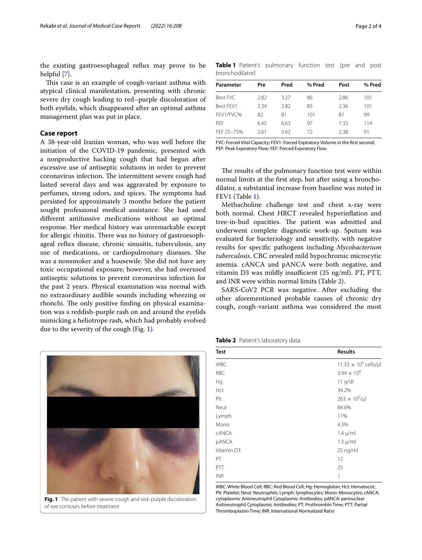the existing gastroesophageal refux may prove to be helpful [[7\]](#page-3-6).

This case is an example of cough-variant asthma with atypical clinical manifestation, presenting with chronic severe dry cough leading to red–purple discoloration of both eyelids, which disappeared after an optimal asthma management plan was put in place.

## **Case report**

A 38-year-old Iranian woman, who was well before the initiation of the COVID-19 pandemic, presented with a nonproductive hacking cough that had begun after excessive use of antiseptic solutions in order to prevent coronavirus infection. The intermittent severe cough had lasted several days and was aggravated by exposure to perfumes, strong odors, and spices. The symptoms had persisted for approximately 3 months before the patient sought professional medical assistance. She had used diferent antitussive medications without an optimal response. Her medical history was unremarkable except for allergic rhinitis. There was no history of gastroesophageal refux disease, chronic sinusitis, tuberculosis, any use of medications, or cardiopulmonary diseases. She was a nonsmoker and a housewife. She did not have any toxic occupational exposure; however, she had overused antiseptic solutions to prevent coronavirus infection for the past 2 years. Physical examination was normal with no extraordinary audible sounds including wheezing or rhonchi. The only positive finding on physical examination was a reddish-purple rash on and around the eyelids mimicking a heliotrope rash, which had probably evolved due to the severity of the cough (Fig. [1](#page-1-0)).

<span id="page-1-0"></span>

<span id="page-1-1"></span>**Table 1** Patient's pulmonary function test (pre and post bronchodilator)

| Parameter  | Pre  | Pred | % Pred | Post | % Pred |
|------------|------|------|--------|------|--------|
| Best FVC   | 2.82 | 3.27 | 86     | 2.86 | 101    |
| Best FEV1  | 2.34 | 2.82 | 83     | 2.36 | 101    |
| FEV1/FVC%  | 82   | 81   | 101    | 81   | 99     |
| <b>PFF</b> | 6.45 | 6.63 | 97     | 7.33 | 114    |
| FFF 25-75% | 2.61 | 3.62 | 72     | 2.38 | 91     |
|            |      |      |        |      |        |

FVC: Forced Vital Capacity; FEV1: Forced Expiratory Volume in the frst second; PEF: Peak Expiratory Flow; FEF: Forced Expiratory Flow

The results of the pulmonary function test were within normal limits at the frst step, but after using a bronchodilator, a substantial increase from baseline was noted in FEV1 (Table [1](#page-1-1)).

Methacholine challenge test and chest x-ray were both normal. Chest HRCT revealed hyperinfation and tree-in-bud opacities. The patient was admitted and underwent complete diagnostic work-up. Sputum was evaluated for bacteriology and sensitivity, with negative results for specifc pathogens including *Mycobacterium tuberculosis*. CBC revealed mild hypochromic microcytic anemia. cANCA and pANCA were both negative, and vitamin D3 was mildly insufficient (25 ng/ml). PT, PTT, and INR were within normal limits (Table [2](#page-1-2)).

SARS-CoV2 PCR was negative. After excluding the other aforementioned probable causes of chronic dry cough, cough-variant asthma was considered the most

<span id="page-1-2"></span>**Table 2** Patient's laboratory data

| <b>Test</b>  | <b>Results</b>                          |  |
|--------------|-----------------------------------------|--|
| <b>WBC</b>   | 11.33 $\times$ 10 <sup>3</sup> cells/µl |  |
| <b>RBC</b>   | $3.94 \times 10^{6}$                    |  |
| Hg           | $11$ g/dl                               |  |
| Hct          | 34.2%                                   |  |
| Plt          | $263 \times 10^{3}$ /µl                 |  |
| Neut         | 84.6%                                   |  |
| Lymph        | 11%                                     |  |
| Mono         | 4.3%                                    |  |
| <b>CANCA</b> | $1.4 \mu$ /ml                           |  |
| <b>pANCA</b> | $1.3 \mu/ml$                            |  |
| Vitamin D3   | 25 ng/ml                                |  |
| PT           | 12                                      |  |
| PTT          | 25                                      |  |
| <b>INR</b>   | 1                                       |  |

WBC: White Blood Cell; RBC: Red Blood Cell; Hg: Hemoglobin; Hct: Hematocrit; Plt: Platelet; Neut: Neutrophils; Lymph: lymphocytes; Mono: Monocytes; cANCA; cytoplasmic Antineutrophil Cytoplasmic Antibodies; pANCA: perinuclear Antineutrophil Cytoplasmic Antibodies; PT: Prothrombin Time; PTT: Partial Thromboplastin Time; INR: International Normalized Ratio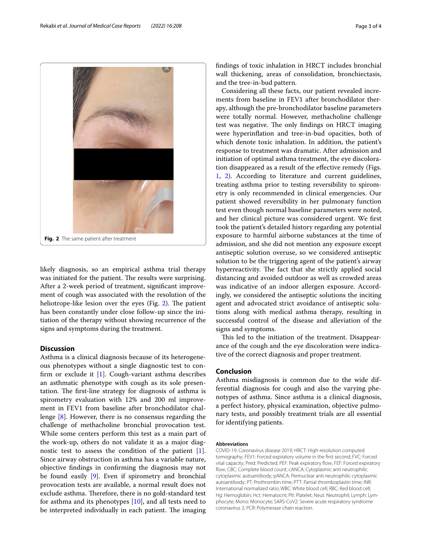<span id="page-2-0"></span>likely diagnosis, so an empirical asthma trial therapy was initiated for the patient. The results were surprising. After a 2-week period of treatment, signifcant improvement of cough was associated with the resolution of the heliotrope-like lesion over the eyes (Fig.  $2$ ). The patient has been constantly under close follow-up since the initiation of the therapy without showing recurrence of the signs and symptoms during the treatment.

## **Discussion**

Asthma is a clinical diagnosis because of its heterogeneous phenotypes without a single diagnostic test to confirm or exclude it  $[1]$  $[1]$ . Cough-variant asthma describes an asthmatic phenotype with cough as its sole presentation. The first-line strategy for diagnosis of asthma is spirometry evaluation with 12% and 200 ml improvement in FEV1 from baseline after bronchodilator challenge [\[8\]](#page-3-7). However, there is no consensus regarding the challenge of methacholine bronchial provocation test. While some centers perform this test as a main part of the work-up, others do not validate it as a major diagnostic test to assess the condition of the patient [\[1](#page-3-0)]. Since airway obstruction in asthma has a variable nature, objective fndings in confrming the diagnosis may not be found easily [\[9\]](#page-3-8). Even if spirometry and bronchial provocation tests are available, a normal result does not exclude asthma. Therefore, there is no gold-standard test for asthma and its phenotypes [[10](#page-3-9)], and all tests need to be interpreted individually in each patient. The imaging fndings of toxic inhalation in HRCT includes bronchial wall thickening, areas of consolidation, bronchiectasis, and the tree-in-bud pattern.

Considering all these facts, our patient revealed increments from baseline in FEV1 after bronchodilator therapy, although the pre-bronchodilator baseline parameters were totally normal. However, methacholine challenge test was negative. The only findings on HRCT imaging were hyperinfation and tree-in-bud opacities, both of which denote toxic inhalation. In addition, the patient's response to treatment was dramatic. After admission and initiation of optimal asthma treatment, the eye discoloration disappeared as a result of the efective remedy (Figs. [1,](#page-1-0) [2](#page-2-0)). According to literature and current guidelines, treating asthma prior to testing reversibility to spirometry is only recommended in clinical emergencies. Our patient showed reversibility in her pulmonary function test even though normal baseline parameters were noted, and her clinical picture was considered urgent. We frst took the patient's detailed history regarding any potential exposure to harmful airborne substances at the time of admission, and she did not mention any exposure except antiseptic solution overuse, so we considered antiseptic solution to be the triggering agent of the patient's airway hyperreactivity. The fact that she strictly applied social distancing and avoided outdoor as well as crowded areas was indicative of an indoor allergen exposure. Accordingly, we considered the antiseptic solutions the inciting agent and advocated strict avoidance of antiseptic solutions along with medical asthma therapy, resulting in successful control of the disease and alleviation of the signs and symptoms.

This led to the initiation of the treatment. Disappearance of the cough and the eye discoloration were indicative of the correct diagnosis and proper treatment.

## **Conclusion**

Asthma misdiagnosis is common due to the wide differential diagnosis for cough and also the varying phenotypes of asthma. Since asthma is a clinical diagnosis, a perfect history, physical examination, objective pulmonary tests, and possibly treatment trials are all essential for identifying patients.

#### **Abbreviations**

COVID-19: Coronavirus disease 2019; HRCT: High-resolution computed tomography; FEV1: Forced expiratory volume in the frst second; FVC: Forced vital capacity; Pred: Predicted; PEF: Peak expiratory fow; FEF: Forced expiratory fow; CBC: Complete blood count; cANCA: Cytoplasmic anti neutrophilic cytoplasmic autoantibody; pANCA: Perinuclear anti neutrophilic cytoplasmic autoantibody; PT: Prothrombin time; PTT: Partial thromboplastin time; INR: International normalized ratio; WBC: White blood cell; RBC: Red blood cell; Hg: Hemoglobin; Hct: Hematocrit; Plt: Platelet; Neut: Neutrophil; Lymph: Lymphocyte; Mono: Monocyte; SARS-CoV2: Severe acute respiratory syndrome coronavirus 2; PCR: Polymerase chain reaction.